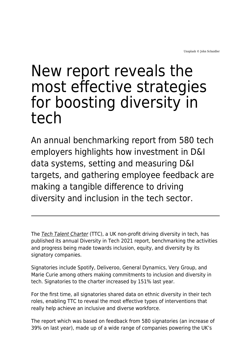## New report reveals the most effective strategies for boosting diversity in tech

An annual benchmarking report from 580 tech employers highlights how investment in D&I data systems, setting and measuring D&I targets, and gathering employee feedback are making a tangible difference to driving diversity and inclusion in the tech sector.

The [Tech Talent Charter](https://www.techtalentcharter.co.uk/home) (TTC), a UK non-profit driving diversity in tech, has published its annual Diversity in Tech 2021 report, benchmarking the activities and progress being made towards inclusion, equity, and diversity by its signatory companies.

Signatories include Spotify, Deliveroo, General Dynamics, Very Group, and Marie Curie among others making commitments to inclusion and diversity in tech. Signatories to the charter increased by 151% last year.

For the first time, all signatories shared data on ethnic diversity in their tech roles, enabling TTC to reveal the most effective types of interventions that really help achieve an inclusive and diverse workforce.

The report which was based on feedback from 580 signatories (an increase of 39% on last year), made up of a wide range of companies powering the UK's